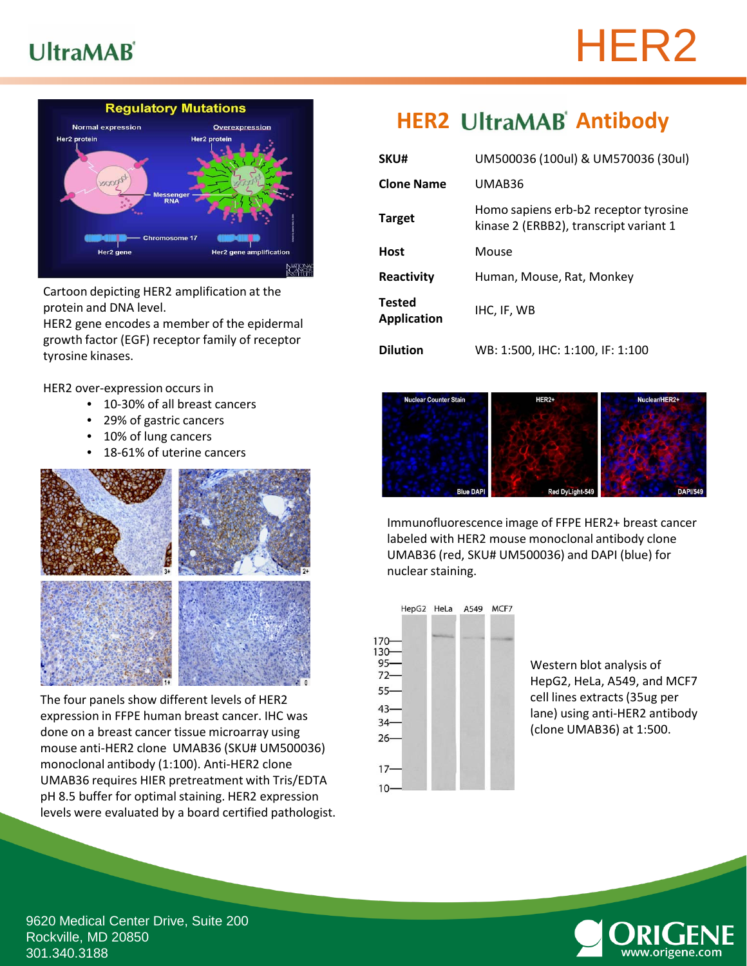## **UltraMAB**





Cartoon depicting HER2 amplification at the protein and DNA level.

HER2 gene encodes a member of the epidermal growth factor (EGF) receptor family of receptor tyrosine kinases.

HER2 over-expression occurs in

- 10-30% of all breast cancers
- 29% of gastric cancers
- 10% of lung cancers
- 18-61% of uterine cancers



The four panels show different levels of HER2 expression in FFPE human breast cancer. IHC was done on a breast cancer tissue microarray using mouse anti-HER2 clone UMAB36 (SKU# UM500036) monoclonal antibody (1:100). Anti-HER2 clone UMAB36 requires HIER pretreatment with Tris/EDTA pH 8.5 buffer for optimal staining. HER2 expression levels were evaluated by a board certified pathologist.

## **HER2 UltraMAB** Antibody

| SKU#                                | UM500036 (100ul) & UM570036 (30ul)                                              |  |
|-------------------------------------|---------------------------------------------------------------------------------|--|
| <b>Clone Name</b>                   | UMAB36                                                                          |  |
| <b>Target</b>                       | Homo sapiens erb-b2 receptor tyrosine<br>kinase 2 (ERBB2), transcript variant 1 |  |
| <b>Host</b>                         | Mouse                                                                           |  |
| Reactivity                          | Human, Mouse, Rat, Monkey                                                       |  |
| <b>Tested</b><br><b>Application</b> | IHC, IF, WB                                                                     |  |
| <b>Dilution</b>                     | WB: 1:500, IHC: 1:100, IF: 1:100                                                |  |



Immunofluorescence image of FFPE HER2+ breast cancer labeled with HER2 mouse monoclonal antibody clone UMAB36 (red, SKU# UM500036) and DAPI (blue) for nuclear staining.



Western blot analysis of HepG2, HeLa, A549, and MCF7 cell lines extracts (35ug per lane) using anti-HER2 antibody (clone UMAB36) at 1:500.



9620 Medical Center Drive, Suite 200 Rockville, MD 20850 301.340.3188